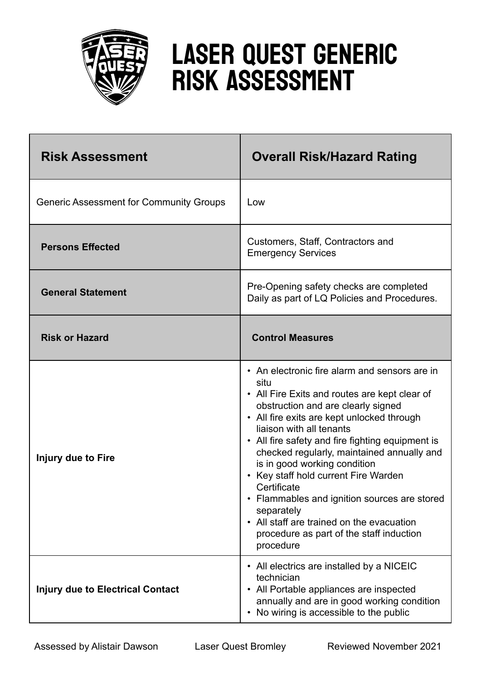

## Laser Quest Generic Risk Assessment

| <b>Risk Assessment</b>                         | <b>Overall Risk/Hazard Rating</b>                                                                                                                                                                                                                                                                                                                                                                                                                                                                                                                                               |
|------------------------------------------------|---------------------------------------------------------------------------------------------------------------------------------------------------------------------------------------------------------------------------------------------------------------------------------------------------------------------------------------------------------------------------------------------------------------------------------------------------------------------------------------------------------------------------------------------------------------------------------|
| <b>Generic Assessment for Community Groups</b> | Low                                                                                                                                                                                                                                                                                                                                                                                                                                                                                                                                                                             |
| <b>Persons Effected</b>                        | Customers, Staff, Contractors and<br><b>Emergency Services</b>                                                                                                                                                                                                                                                                                                                                                                                                                                                                                                                  |
| <b>General Statement</b>                       | Pre-Opening safety checks are completed<br>Daily as part of LQ Policies and Procedures.                                                                                                                                                                                                                                                                                                                                                                                                                                                                                         |
| <b>Risk or Hazard</b>                          | <b>Control Measures</b>                                                                                                                                                                                                                                                                                                                                                                                                                                                                                                                                                         |
| Injury due to Fire                             | • An electronic fire alarm and sensors are in<br>situ<br>• All Fire Exits and routes are kept clear of<br>obstruction and are clearly signed<br>• All fire exits are kept unlocked through<br>liaison with all tenants<br>• All fire safety and fire fighting equipment is<br>checked regularly, maintained annually and<br>is in good working condition<br>Key staff hold current Fire Warden<br>Certificate<br>Flammables and ignition sources are stored<br>separately<br>• All staff are trained on the evacuation<br>procedure as part of the staff induction<br>procedure |
| <b>Injury due to Electrical Contact</b>        | • All electrics are installed by a NICEIC<br>technician<br>• All Portable appliances are inspected<br>annually and are in good working condition<br>No wiring is accessible to the public<br>$\bullet$                                                                                                                                                                                                                                                                                                                                                                          |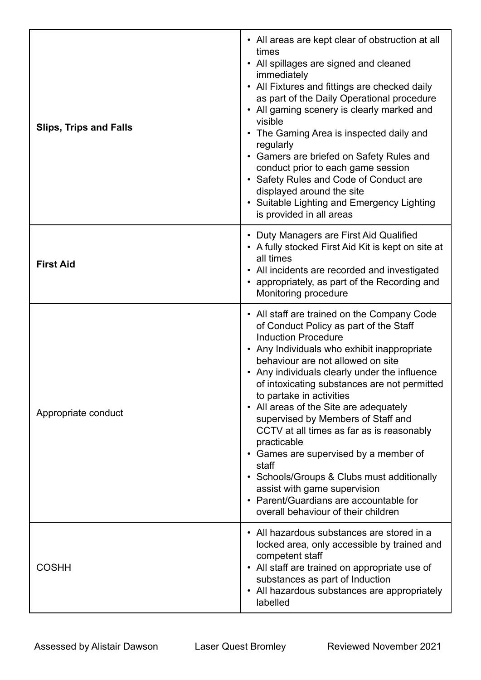| <b>Slips, Trips and Falls</b> | • All areas are kept clear of obstruction at all<br>times<br>• All spillages are signed and cleaned<br>immediately<br>• All Fixtures and fittings are checked daily<br>as part of the Daily Operational procedure<br>• All gaming scenery is clearly marked and<br>visible<br>• The Gaming Area is inspected daily and<br>regularly<br>• Gamers are briefed on Safety Rules and<br>conduct prior to each game session<br>• Safety Rules and Code of Conduct are<br>displayed around the site<br>• Suitable Lighting and Emergency Lighting<br>is provided in all areas                                                                                                                            |
|-------------------------------|---------------------------------------------------------------------------------------------------------------------------------------------------------------------------------------------------------------------------------------------------------------------------------------------------------------------------------------------------------------------------------------------------------------------------------------------------------------------------------------------------------------------------------------------------------------------------------------------------------------------------------------------------------------------------------------------------|
| <b>First Aid</b>              | • Duty Managers are First Aid Qualified<br>• A fully stocked First Aid Kit is kept on site at<br>all times<br>• All incidents are recorded and investigated<br>• appropriately, as part of the Recording and<br>Monitoring procedure                                                                                                                                                                                                                                                                                                                                                                                                                                                              |
| Appropriate conduct           | • All staff are trained on the Company Code<br>of Conduct Policy as part of the Staff<br><b>Induction Procedure</b><br>• Any Individuals who exhibit inappropriate<br>behaviour are not allowed on site<br>• Any individuals clearly under the influence<br>of intoxicating substances are not permitted<br>to partake in activities<br>• All areas of the Site are adequately<br>supervised by Members of Staff and<br>CCTV at all times as far as is reasonably<br>practicable<br>• Games are supervised by a member of<br>staff<br>• Schools/Groups & Clubs must additionally<br>assist with game supervision<br>• Parent/Guardians are accountable for<br>overall behaviour of their children |
| <b>COSHH</b>                  | • All hazardous substances are stored in a<br>locked area, only accessible by trained and<br>competent staff<br>• All staff are trained on appropriate use of<br>substances as part of Induction<br>• All hazardous substances are appropriately<br>labelled                                                                                                                                                                                                                                                                                                                                                                                                                                      |